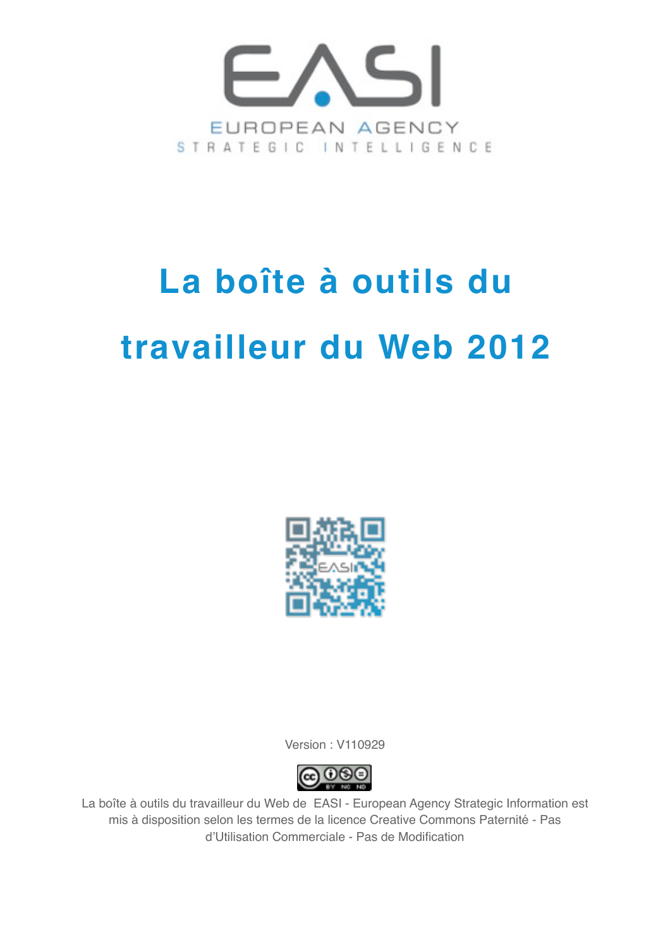

## **La boîte à outils du travailleur du Web 2012**



Version : V110929



La boîte à outils du travailleur du Web de EASI - European Agency Strategic Information est mis à disposition selon les termes de la licence Creative Commons Paternité - Pas d'Utilisation Commerciale - Pas de Modification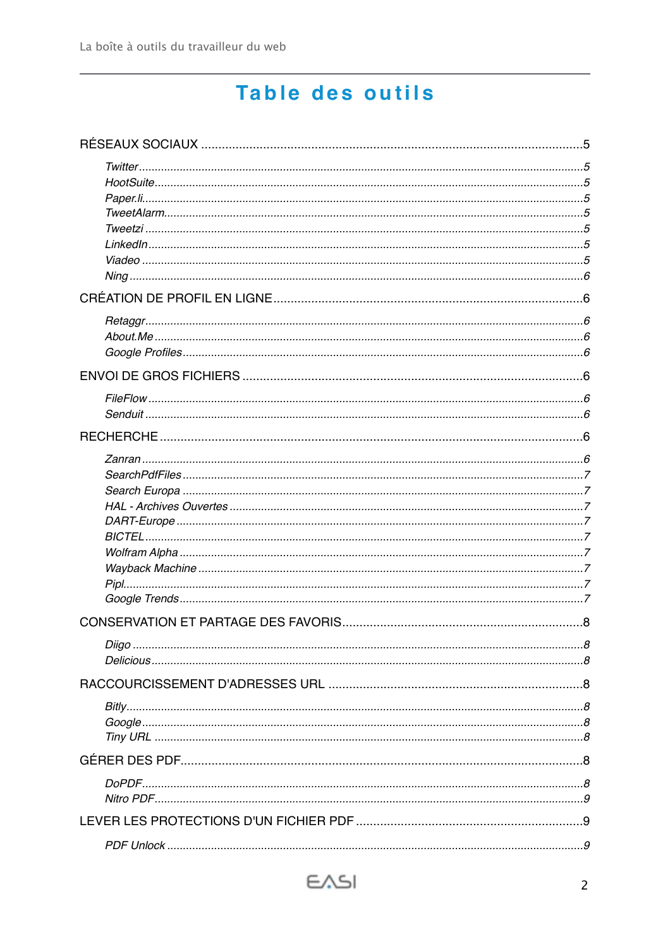## Table des outils

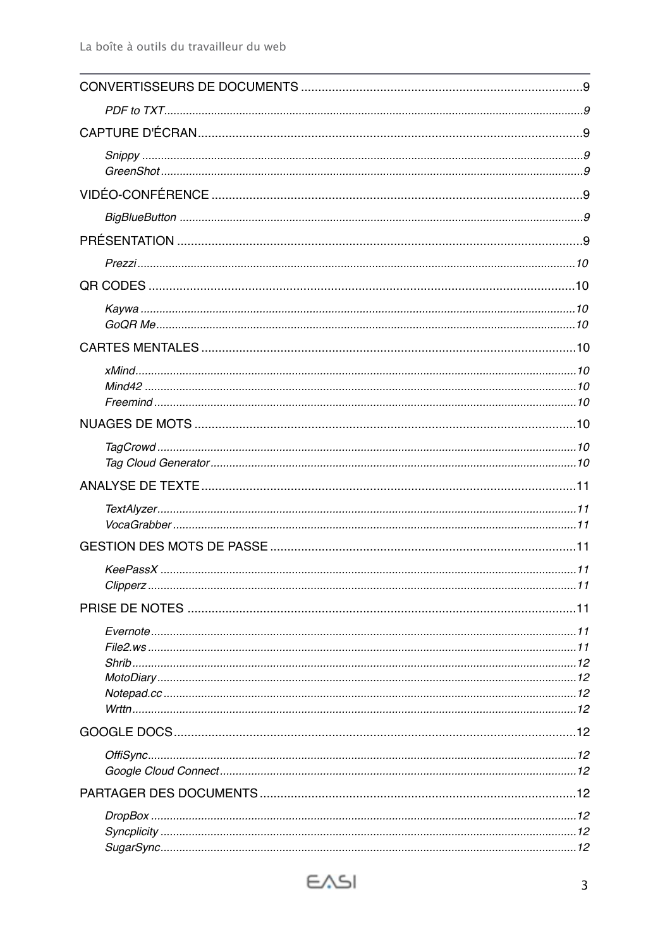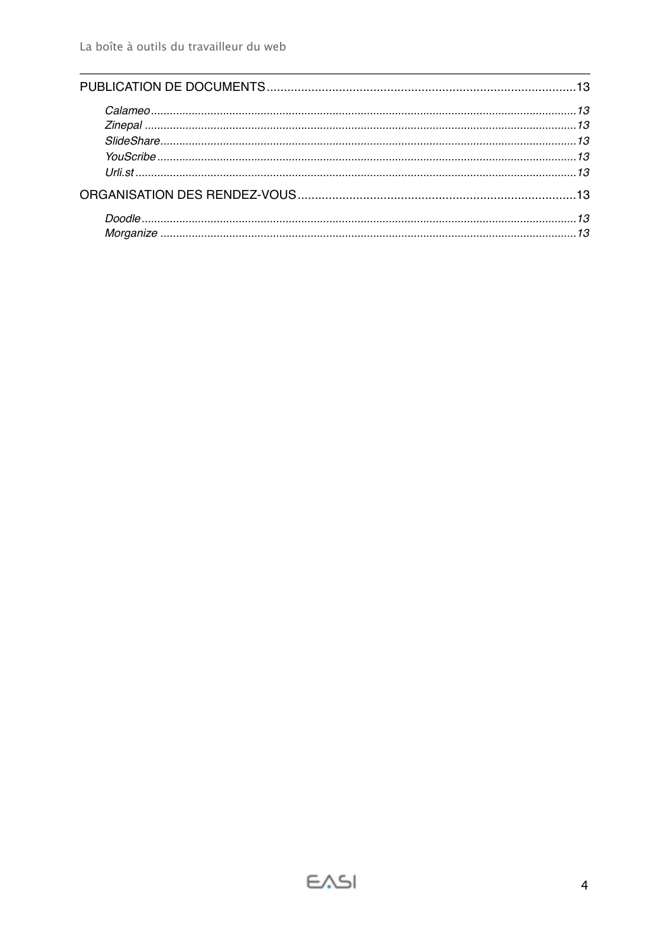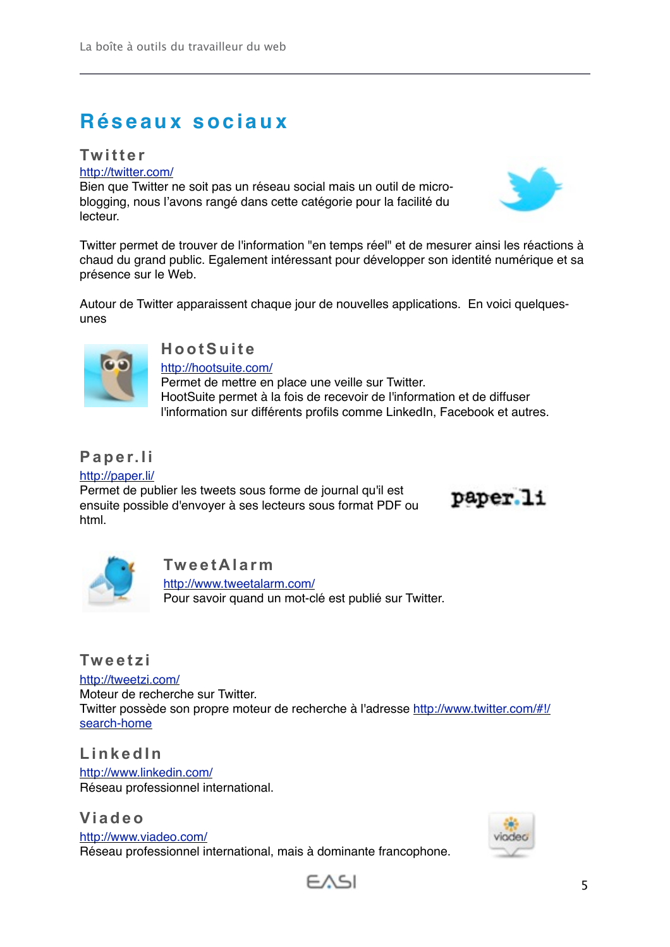## <span id="page-4-0"></span>**Réseaux sociaux**

#### <span id="page-4-1"></span>**Twitter**

<http://twitter.com/>

Bien que Twitter ne soit pas un réseau social mais un outil de microblogging, nous l'avons rangé dans cette catégorie pour la facilité du lecteur.



Autour de Twitter apparaissent chaque jour de nouvelles applications. En voici quelquesunes



## <span id="page-4-2"></span>**HootSuite**

<http://hootsuite.com/> Permet de mettre en place une veille sur Twitter. HootSuite permet à la fois de recevoir de l'information et de diffuser l'information sur différents profils comme LinkedIn, Facebook et autres.

## <span id="page-4-3"></span>**Paper.li**

<http://paper.li/> Permet de publier les tweets sous forme de journal qu'il est ensuite possible d'envoyer à ses lecteurs sous format PDF ou html.

paper.li



#### <span id="page-4-4"></span>**TweetAlarm**

<http://www.tweetalarm.com/> Pour savoir quand un mot-clé est publié sur Twitter.

#### <span id="page-4-5"></span>**Tweetzi**

<http://tweetzi.com/>

Moteur de recherche sur Twitter. Twitter possède son propre moteur de recherche à l'adresse [http://www.twitter.com/#!/](http://www.twitter.com/#!/search-home) [search-home](http://www.twitter.com/#!/search-home)

<span id="page-4-6"></span>**LinkedIn**

<http://www.linkedin.com/> Réseau professionnel international.

#### <span id="page-4-7"></span>**Viadeo**

<http://www.viadeo.com/> Réseau professionnel international, mais à dominante francophone.





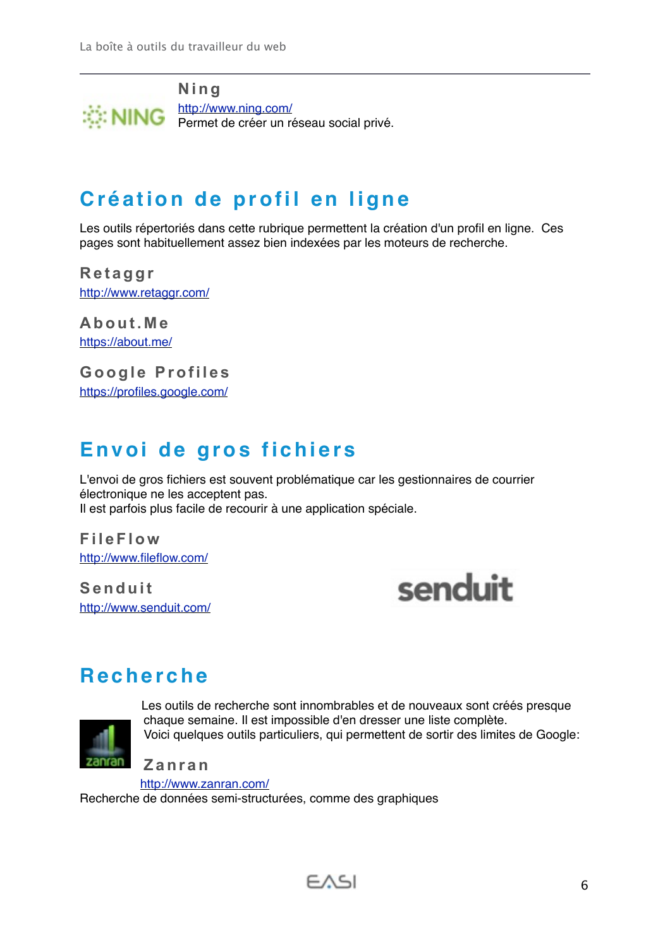<span id="page-5-0"></span>

## <span id="page-5-1"></span>**Création de profil en ligne**

Les outils répertoriés dans cette rubrique permettent la création d'un profil en ligne. Ces pages sont habituellement assez bien indexées par les moteurs de recherche.

<span id="page-5-2"></span>**Retaggr** <http://www.retaggr.com/>

<span id="page-5-3"></span>**About.Me** <https://about.me/>

<span id="page-5-4"></span>**Google Profiles** <https://profiles.google.com/>

## <span id="page-5-5"></span>**Envoi de gros fichiers**

L'envoi de gros fichiers est souvent problématique car les gestionnaires de courrier électronique ne les acceptent pas. Il est parfois plus facile de recourir à une application spéciale.

<span id="page-5-6"></span>**FileFlow** <http://www.fileflow.com/>

<span id="page-5-7"></span>**Senduit** <http://www.senduit.com/>



## <span id="page-5-8"></span>**Recherche**



Les outils de recherche sont innombrables et de nouveaux sont créés presque chaque semaine. Il est impossible d'en dresser une liste complète. Voici quelques outils particuliers, qui permettent de sortir des limites de Google:

<span id="page-5-9"></span>**Zanran**

<http://www.zanran.com/>

Recherche de données semi-structurées, comme des graphiques

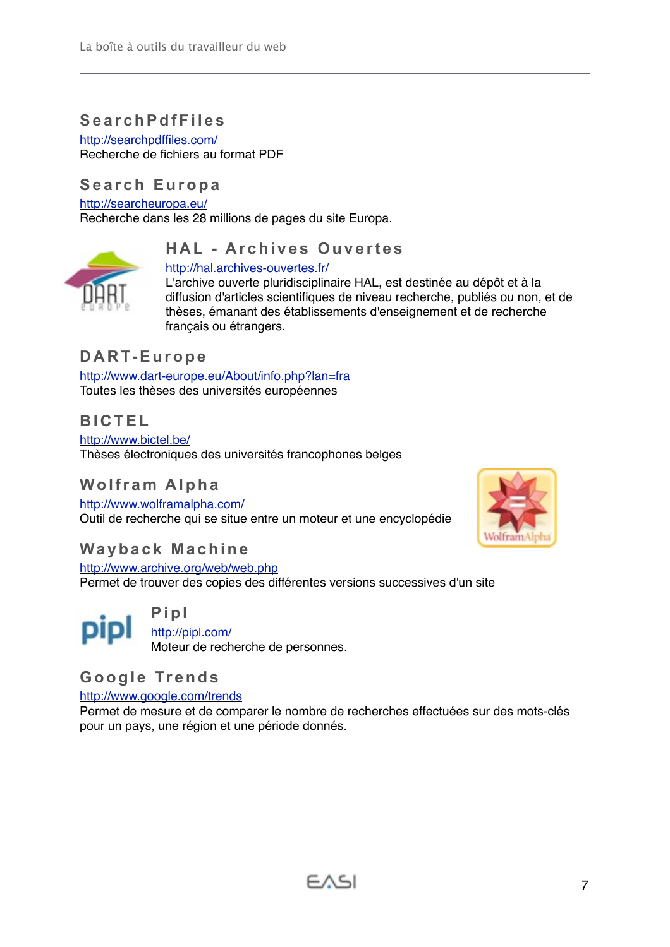#### <span id="page-6-0"></span>**SearchPdfFiles**

<http://searchpdffiles.com/> Recherche de fichiers au format PDF

#### <span id="page-6-1"></span>**Search Europa**

<http://searcheuropa.eu/>

Recherche dans les 28 millions de pages du site Europa.

#### <span id="page-6-2"></span>**HAL - Archives Ouvertes**

#### <http://hal.archives-ouvertes.fr/>



L'archive ouverte pluridisciplinaire HAL, est destinée au dépôt et à la diffusion d'articles scientifiques de niveau recherche, publiés ou non, et de thèses, émanant des établissements d'enseignement et de recherche français ou étrangers.

#### <span id="page-6-3"></span>**DART-Europe**

<http://www.dart-europe.eu/About/info.php?lan=fra> Toutes les thèses des universités européennes

#### <span id="page-6-4"></span>**BICTEL**

<http://www.bictel.be/> Thèses électroniques des universités francophones belges

#### <span id="page-6-5"></span>**Wolfram Alpha**

<http://www.wolframalpha.com/> Outil de recherche qui se situe entre un moteur et une encyclopédie



#### <span id="page-6-6"></span>**Wayback Machine**

<http://www.archive.org/web/web.php> Permet de trouver des copies des différentes versions successives d'un site

<span id="page-6-7"></span>**Pipl** <http://pipl.com/> Moteur de recherche de personnes.

#### <span id="page-6-8"></span>**Google Trends**

<http://www.google.com/trends>

Permet de mesure et de comparer le nombre de recherches effectuées sur des mots-clés pour un pays, une région et une période donnés.

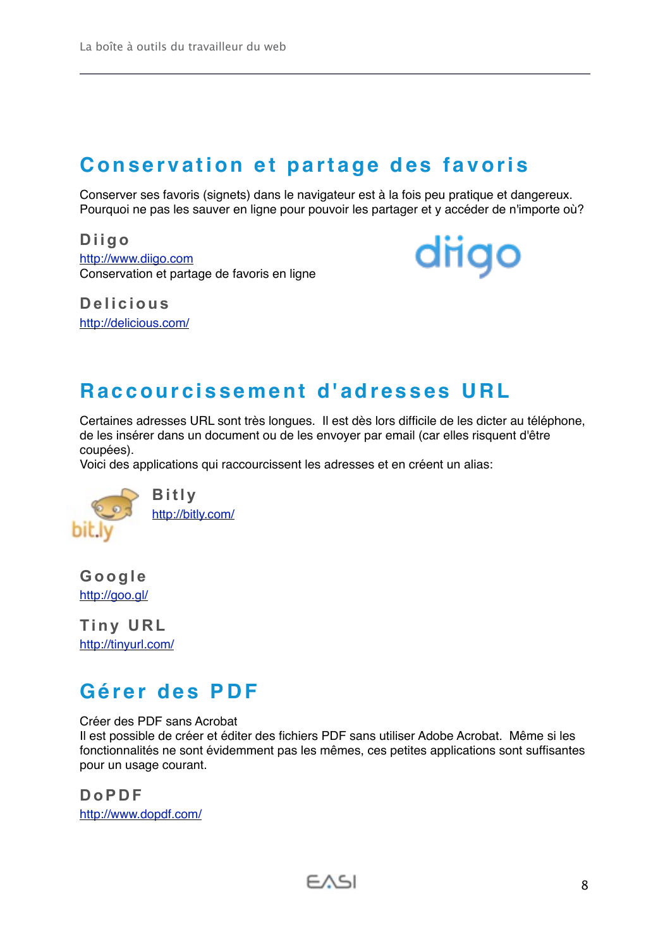## <span id="page-7-0"></span>**Conservation et partage des favoris**

Conserver ses favoris (signets) dans le navigateur est à la fois peu pratique et dangereux. Pourquoi ne pas les sauver en ligne pour pouvoir les partager et y accéder de n'importe où?

<span id="page-7-1"></span>**Diigo** [http://www.diigo.com](http://www.diigo.com/) Conservation et partage de favoris en ligne diigo

<span id="page-7-2"></span>**Delicious** <http://delicious.com/>

## <span id="page-7-3"></span>**Raccourcissement d'adresses URL**

Certaines adresses URL sont très longues. Il est dès lors difficile de les dicter au téléphone, de les insérer dans un document ou de les envoyer par email (car elles risquent d'être coupées).

Voici des applications qui raccourcissent les adresses et en créent un alias:



<span id="page-7-4"></span>**Bitly** <http://bitly.com/>

<span id="page-7-5"></span>**Google** <http://goo.gl/>

<span id="page-7-6"></span>**Tiny URL** <http://tinyurl.com/>

## <span id="page-7-7"></span>**Gérer des PDF**

Créer des PDF sans Acrobat

Il est possible de créer et éditer des fichiers PDF sans utiliser Adobe Acrobat. Même si les fonctionnalités ne sont évidemment pas les mêmes, ces petites applications sont suffisantes pour un usage courant.

<span id="page-7-8"></span>**DoPDF** <http://www.dopdf.com/>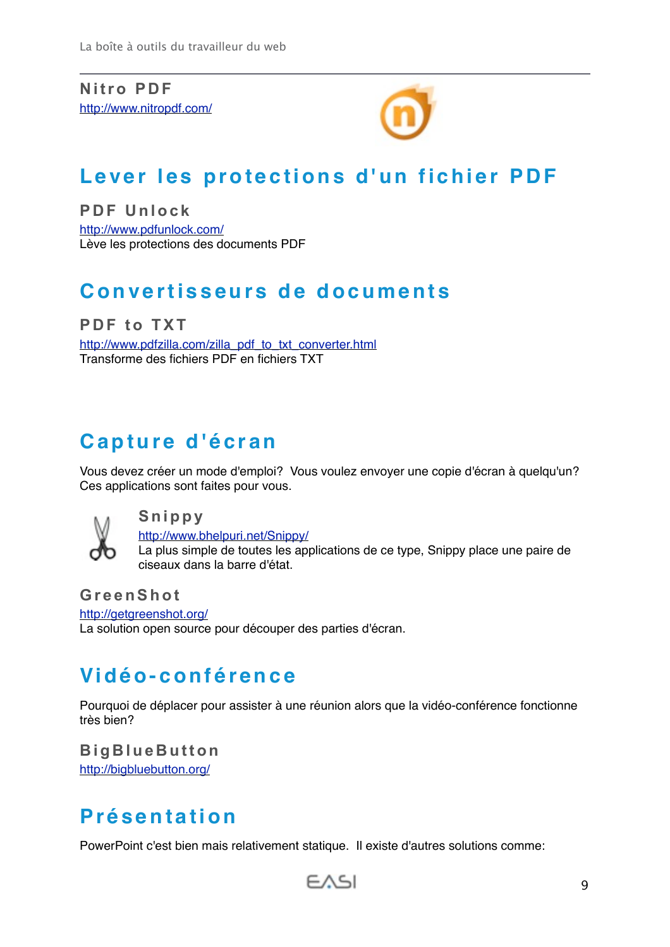<span id="page-8-0"></span>**Nitro PDF** <http://www.nitropdf.com/>



## <span id="page-8-1"></span>**Lever les protections d'un fichier PDF**

<span id="page-8-2"></span>**PDF Unlock** <http://www.pdfunlock.com/> Lève les protections des documents PDF

## <span id="page-8-3"></span>**Convertisseurs de documents**

<span id="page-8-4"></span>**PDF to TXT** [http://www.pdfzilla.com/zilla\\_pdf\\_to\\_txt\\_converter.html](http://www.pdfzilla.com/zilla_pdf_to_txt_converter.html) Transforme des fichiers PDF en fichiers TXT

## <span id="page-8-5"></span>**Capture d'écran**

Vous devez créer un mode d'emploi? Vous voulez envoyer une copie d'écran à quelqu'un? Ces applications sont faites pour vous.



<span id="page-8-6"></span>**Snippy**

<http://www.bhelpuri.net/Snippy/>

La plus simple de toutes les applications de ce type, Snippy place une paire de ciseaux dans la barre d'état.

<span id="page-8-7"></span>**GreenShot**

<http://getgreenshot.org/> La solution open source pour découper des parties d'écran.

## <span id="page-8-8"></span>**Vidéo-conférence**

Pourquoi de déplacer pour assister à une réunion alors que la vidéo-conférence fonctionne très bien?

<span id="page-8-9"></span>**BigBlueButton**

<http://bigbluebutton.org/>

## <span id="page-8-10"></span>**Présentation**

PowerPoint c'est bien mais relativement statique. Il existe d'autres solutions comme:

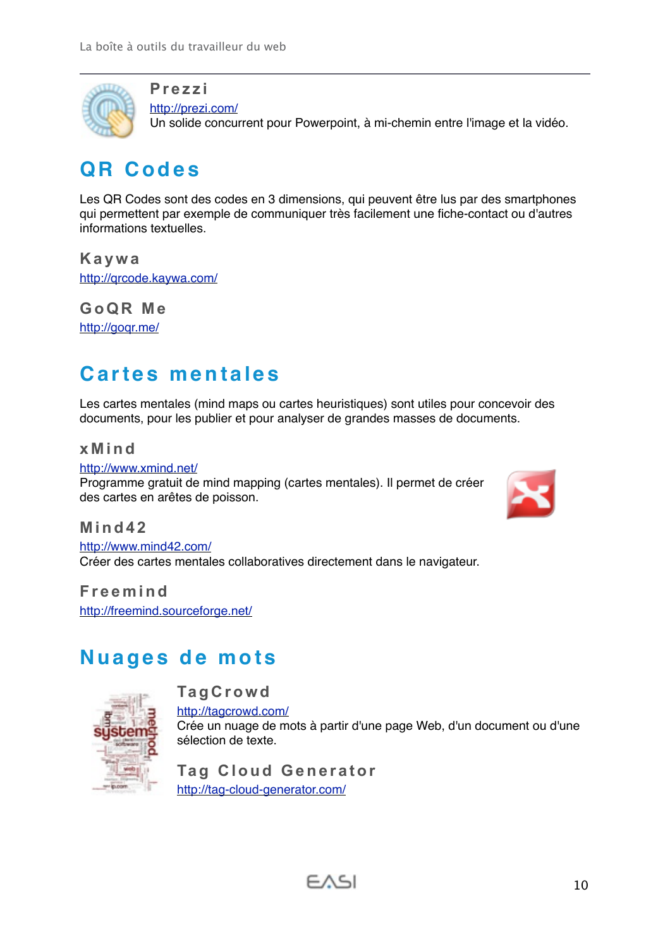

<span id="page-9-0"></span>**Prezzi** <http://prezi.com/>

Un solide concurrent pour Powerpoint, à mi-chemin entre l'image et la vidéo.

## <span id="page-9-1"></span>**QR Codes**

Les QR Codes sont des codes en 3 dimensions, qui peuvent être lus par des smartphones qui permettent par exemple de communiquer très facilement une fiche-contact ou d'autres informations textuelles.

<span id="page-9-2"></span>**Kaywa** <http://qrcode.kaywa.com/>

<span id="page-9-3"></span>**GoQR Me** <http://goqr.me/>

## <span id="page-9-4"></span>**Cartes mentales**

Les cartes mentales (mind maps ou cartes heuristiques) sont utiles pour concevoir des documents, pour les publier et pour analyser de grandes masses de documents.

#### <span id="page-9-5"></span>**xMind**

<http://www.xmind.net/> Programme gratuit de mind mapping (cartes mentales). Il permet de créer des cartes en arêtes de poisson.



<span id="page-9-6"></span>**Mind42**

<http://www.mind42.com/> Créer des cartes mentales collaboratives directement dans le navigateur.

<span id="page-9-7"></span>**Freemind** <http://freemind.sourceforge.net/>

## <span id="page-9-8"></span>**Nuages de mots**

<span id="page-9-9"></span>**TagCrowd**



<http://tagcrowd.com/> Crée un nuage de mots à partir d'une page Web, d'un document ou d'une sélection de texte.

<span id="page-9-10"></span>**Tag Cloud Generator** <http://tag-cloud-generator.com/>

$$
\in \wedge \leq \mid
$$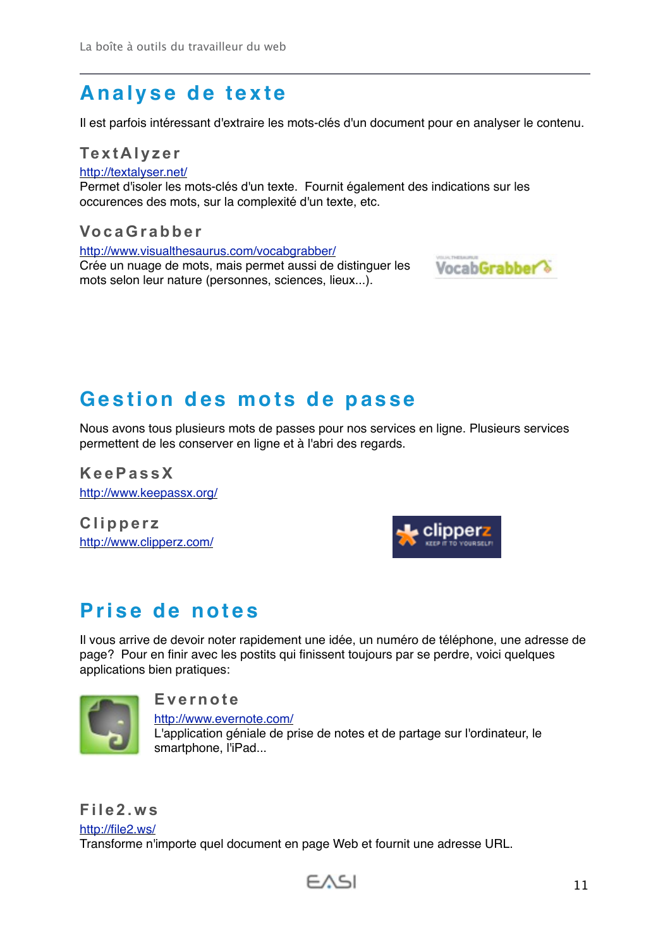## <span id="page-10-0"></span>**Analyse de texte**

<span id="page-10-1"></span>Il est parfois intéressant d'extraire les mots-clés d'un document pour en analyser le contenu.

**TextAlyzer** <http://textalyser.net/> Permet d'isoler les mots-clés d'un texte. Fournit également des indications sur les occurences des mots, sur la complexité d'un texte, etc.

#### <span id="page-10-2"></span>**VocaGrabber**

<http://www.visualthesaurus.com/vocabgrabber/> Crée un nuage de mots, mais permet aussi de distinguer les mots selon leur nature (personnes, sciences, lieux...).



## <span id="page-10-3"></span>**Gestion des mots de passe**

Nous avons tous plusieurs mots de passes pour nos services en ligne. Plusieurs services permettent de les conserver en ligne et à l'abri des regards.

<span id="page-10-4"></span>**KeePassX** <http://www.keepassx.org/>

<span id="page-10-5"></span>**Clipperz** <http://www.clipperz.com/>



## <span id="page-10-6"></span>**Prise de notes**

Il vous arrive de devoir noter rapidement une idée, un numéro de téléphone, une adresse de page? Pour en finir avec les postits qui finissent toujours par se perdre, voici quelques applications bien pratiques:



#### <span id="page-10-7"></span>**Evernote**

<http://www.evernote.com/> L'application géniale de prise de notes et de partage sur l'ordinateur, le smartphone, l'iPad...

<span id="page-10-8"></span>**File2.ws** <http://file2.ws/> Transforme n'importe quel document en page Web et fournit une adresse URL.

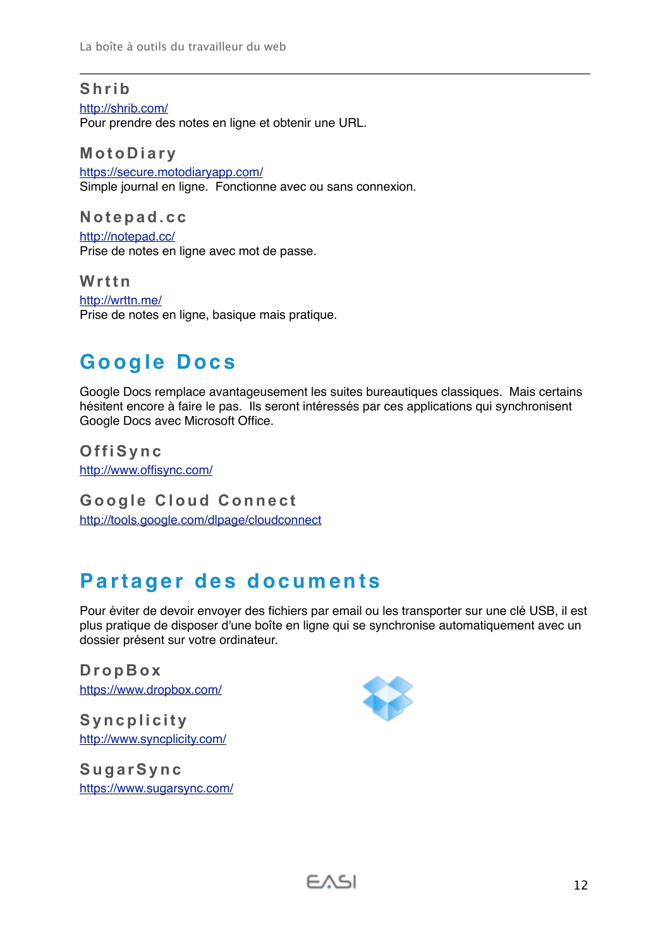#### <span id="page-11-0"></span>**Shrib**

<http://shrib.com/> Pour prendre des notes en ligne et obtenir une URL.

<span id="page-11-1"></span>**MotoDiary** <https://secure.motodiaryapp.com/> Simple journal en ligne. Fonctionne avec ou sans connexion.

<span id="page-11-2"></span>**Notepad.cc** <http://notepad.cc/> Prise de notes en ligne avec mot de passe.

<span id="page-11-3"></span>**Wrttn** <http://wrttn.me/> Prise de notes en ligne, basique mais pratique.

## <span id="page-11-4"></span>**Google Docs**

Google Docs remplace avantageusement les suites bureautiques classiques. Mais certains hésitent encore à faire le pas. Ils seront intéressés par ces applications qui synchronisent Google Docs avec Microsoft Office.

<span id="page-11-5"></span>**OffiSync** <http://www.offisync.com/>

<span id="page-11-6"></span>**Google Cloud Connect** <http://tools.google.com/dlpage/cloudconnect>

## <span id="page-11-7"></span>**Partager des documents**

Pour éviter de devoir envoyer des fichiers par email ou les transporter sur une clé USB, il est plus pratique de disposer d'une boîte en ligne qui se synchronise automatiquement avec un dossier présent sur votre ordinateur.

<span id="page-11-8"></span>**DropBox** <https://www.dropbox.com/>

<span id="page-11-9"></span>**Syncplicity** <http://www.syncplicity.com/>

<span id="page-11-10"></span>**SugarSync** <https://www.sugarsync.com/>

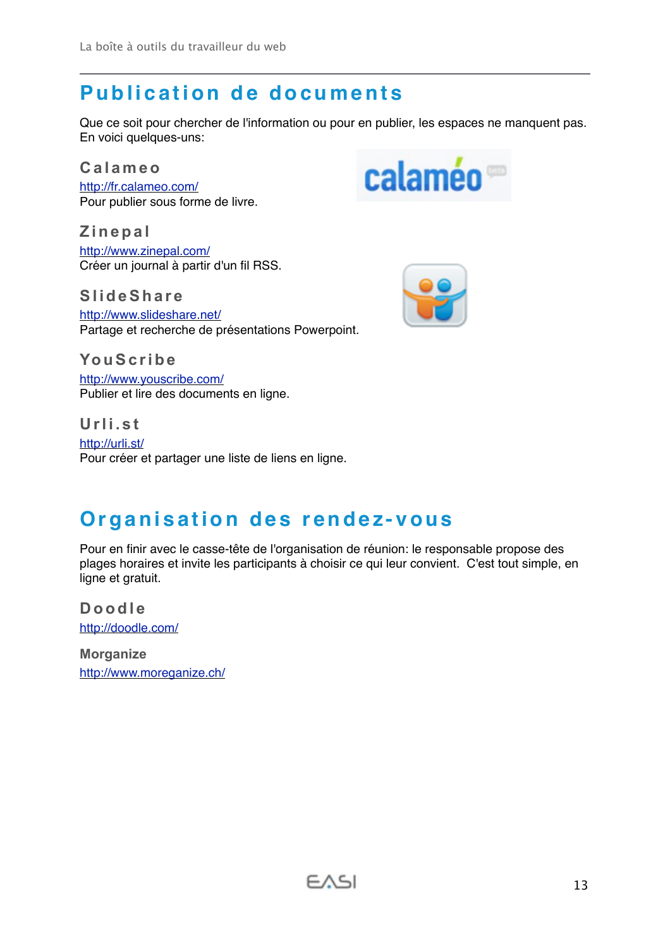## <span id="page-12-0"></span>**Publication de documents**

Que ce soit pour chercher de l'information ou pour en publier, les espaces ne manquent pas. En voici quelques-uns:

<span id="page-12-1"></span>**Calameo**

<http://fr.calameo.com/> Pour publier sous forme de livre.

<span id="page-12-2"></span>**Zinepal** <http://www.zinepal.com/> Créer un journal à partir d'un fil RSS.

<span id="page-12-3"></span>**SlideShare**

<http://www.slideshare.net/> Partage et recherche de présentations Powerpoint.

<span id="page-12-4"></span>**YouScribe** <http://www.youscribe.com/> Publier et lire des documents en ligne.

<span id="page-12-5"></span>**Urli.st** <http://urli.st/> Pour créer et partager une liste de liens en ligne.

## <span id="page-12-6"></span>**Organisation des rendez-vous**

Pour en finir avec le casse-tête de l'organisation de réunion: le responsable propose des plages horaires et invite les participants à choisir ce qui leur convient. C'est tout simple, en ligne et gratuit.

 $FASI$ 

<span id="page-12-7"></span>**Doodle** <http://doodle.com/>

<span id="page-12-8"></span>**Morganize** <http://www.moreganize.ch/>



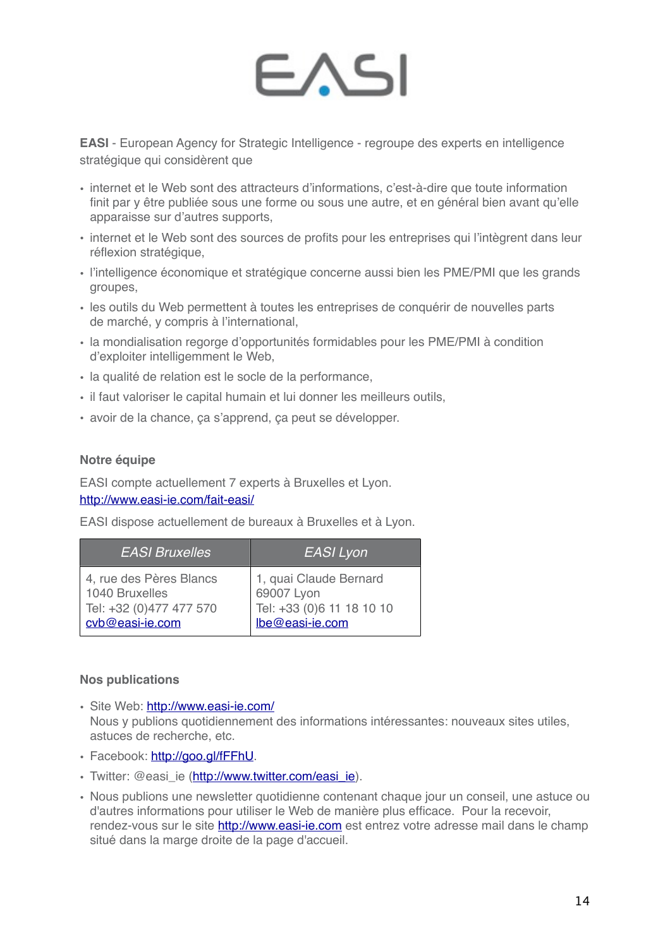# FAS

**EASI** - European Agency for Strategic Intelligence - regroupe des experts en intelligence stratégique qui considèrent que

- internet et le Web sont des attracteurs d'informations, c'est-à-dire que toute information finit par y être publiée sous une forme ou sous une autre, et en général bien avant qu'elle apparaisse sur d'autres supports,
- internet et le Web sont des sources de profits pour les entreprises qui l'intègrent dans leur réflexion stratégique,
- l'intelligence économique et stratégique concerne aussi bien les PME/PMI que les grands groupes,
- les outils du Web permettent à toutes les entreprises de conquérir de nouvelles parts de marché, y compris à l'international,
- la mondialisation regorge d'opportunités formidables pour les PME/PMI à condition d'exploiter intelligemment le Web,
- la qualité de relation est le socle de la performance,
- il faut valoriser le capital humain et lui donner les meilleurs outils,
- avoir de la chance, ça s'apprend, ça peut se développer.

#### **Notre équipe**

EASI compte actuellement 7 experts à Bruxelles et Lyon. <http://www.easi-ie.com/fait-easi/>

EASI dispose actuellement de bureaux à Bruxelles et à Lyon.

| <b>EASI Bruxelles</b>   | EASI Lyon                 |
|-------------------------|---------------------------|
| 4, rue des Pères Blancs | 1, quai Claude Bernard    |
| 1040 Bruxelles          | 69007 Lyon                |
| Tel: +32 (0)477 477 570 | Tel: +33 (0)6 11 18 10 10 |
| cvb@easi-ie.com         | lbe@easi-ie.com           |

#### **Nos publications**

- Site Web: http://www.easi-ie.com/ Nous y publions quotidiennement des informations intéressantes: nouveaux sites utiles, astuces de recherche, etc.
- Facebook:<http://goo.gl/fFFhU>.
- Twitter: @easi\_ie [\(http://www.twitter.com/easi\\_ie](http://www.twitter.com/easi_ie)).
- Nous publions une newsletter quotidienne contenant chaque jour un conseil, une astuce ou d'autres informations pour utiliser le Web de manière plus efficace. Pour la recevoir, rendez-vous sur le site <http://www.easi-ie.com>est entrez votre adresse mail dans le champ situé dans la marge droite de la page d'accueil.